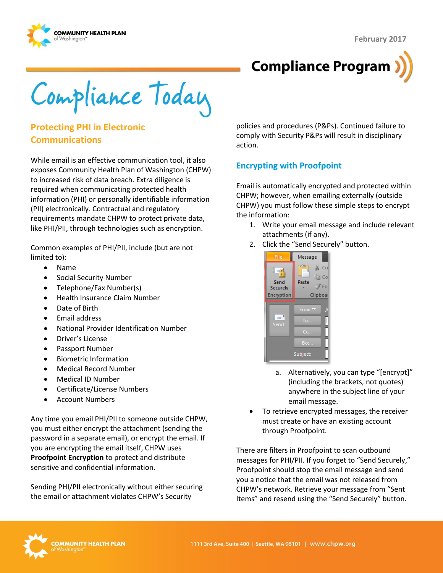



Compliance Today

## **Protecting PHI in Electronic Communications**

While email is an effective communication tool, it also exposes Community Health Plan of Washington (CHPW) to increased risk of data breach. Extra diligence is required when communicating protected health information (PHI) or personally identifiable information (PII) electronically. Contractual and regulatory requirements mandate CHPW to protect private data, like PHI/PII, through technologies such as encryption.

Common examples of PHI/PII, include (but are not limited to):

- Name
- Social Security Number
- Telephone/Fax Number(s)
- Health Insurance Claim Number
- Date of Birth
- Email address
- National Provider Identification Number
- Driver's License
- Passport Number
- **•** Biometric Information
- Medical Record Number
- Medical ID Number
- Certificate/License Numbers
- Account Numbers

Any time you email PHI/PII to someone outside CHPW, you must either encrypt the attachment (sending the password in a separate email), or encrypt the email. If you are encrypting the email itself, CHPW uses **Proofpoint Encryption** to protect and distribute sensitive and confidential information.

Sending PHI/PII electronically without either securing the email or attachment violates CHPW's Security

policies and procedures (P&Ps). Continued failure to comply with Security P&Ps will result in disciplinary action.

#### **Encrypting with Proofpoint**

Email is automatically encrypted and protected within CHPW; however, when emailing externally (outside CHPW) you must follow these simple steps to encrypt the information:

- 1. Write your email message and include relevant attachments (if any).
- 2. Click the "Send Securely" button.

| File                                          | Message                                                       |
|-----------------------------------------------|---------------------------------------------------------------|
| Ē<br>$=$ ni<br>Send<br>Securely<br>Encryption | $\mathcal{L}$<br>X<br>Cu<br>lia Co<br>Paste<br>Fo<br>Clipboar |
|                                               |                                                               |
| $=1$<br>Send                                  | From $\overline{\triangledown}$<br>To                         |
|                                               | Cc                                                            |
|                                               | Bcc                                                           |
| Subject:                                      |                                                               |

- a. Alternatively, you can type "[encrypt]" (including the brackets, not quotes) anywhere in the subject line of your email message.
- To retrieve encrypted messages, the receiver must create or have an existing account through Proofpoint.

There are filters in Proofpoint to scan outbound messages for PHI/PII. If you forget to "Send Securely," Proofpoint should stop the email message and send you a notice that the email was not released from CHPW's network. Retrieve your message from "Sent Items" and resend using the "Send Securely" button.

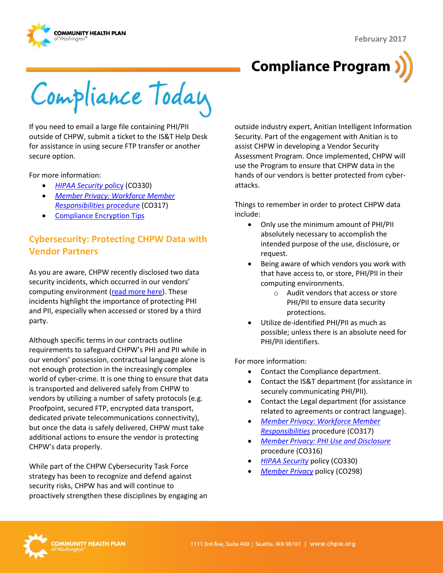



Compliance Today

If you need to email a large file containing PHI/PII outside of CHPW, submit a ticket to the IS&T Help Desk for assistance in using secure FTP transfer or another secure option.

For more information:

- *[HIPAA Security](http://chpsp/PP/Compliance/HIPAA%20Security%20Policy%20-%20CO330.pdf)* policy (CO330)
- *[Member Privacy: Workforce Member](http://chpsp/PP/Compliance/Member%20Privacy-Workforce%20Member%20Responsibilities%20Procedure%20-%20CO317.pdf)  [Responsibilities](http://chpsp/PP/Compliance/Member%20Privacy-Workforce%20Member%20Responsibilities%20Procedure%20-%20CO317.pdf)* procedure (CO317)
- [Compliance Encryption Tips](http://chpsp/Comp/Compliance%20Tips/Encryption.aspx)

# **Cybersecurity: Protecting CHPW Data with Vendor Partners**

As you are aware, CHPW recently disclosed two data security incidents, which occurred in our vendors' computing environment [\(read more here\)](http://chpw.org/about-us/press-room/notice-of-data-security-incident). These incidents highlight the importance of protecting PHI and PII, especially when accessed or stored by a third party.

Although specific terms in our contracts outline requirements to safeguard CHPW's PHI and PII while in our vendors' possession, contractual language alone is not enough protection in the increasingly complex world of cyber-crime. It is one thing to ensure that data is transported and delivered safely from CHPW to vendors by utilizing a number of safety protocols (e.g. Proofpoint, secured FTP, encrypted data transport, dedicated private telecommunications connectivity), but once the data is safely delivered, CHPW must take additional actions to ensure the vendor is protecting CHPW's data properly.

While part of the CHPW Cybersecurity Task Force strategy has been to recognize and defend against security risks, CHPW has and will continue to proactively strengthen these disciplines by engaging an outside industry expert, Anitian Intelligent Information Security. Part of the engagement with Anitian is to assist CHPW in developing a Vendor Security Assessment Program. Once implemented, CHPW will use the Program to ensure that CHPW data in the hands of our vendors is better protected from cyberattacks.

Things to remember in order to protect CHPW data include:

- Only use the minimum amount of PHI/PII absolutely necessary to accomplish the intended purpose of the use, disclosure, or request.
- Being aware of which vendors you work with that have access to, or store, PHI/PII in their computing environments.
	- o Audit vendors that access or store PHI/PII to ensure data security protections.
- Utilize de-identified PHI/PII as much as possible; unless there is an absolute need for PHI/PII identifiers.

For more information:

- Contact the Compliance department.
- Contact the IS&T department (for assistance in securely communicating PHI/PII).
- Contact the Legal department (for assistance related to agreements or contract language).
- *[Member Privacy: Workforce Member](http://chpsp/PP/Compliance/Member%20Privacy-Workforce%20Member%20Responsibilities%20Procedure%20-%20CO317.pdf)  [Responsibilities](http://chpsp/PP/Compliance/Member%20Privacy-Workforce%20Member%20Responsibilities%20Procedure%20-%20CO317.pdf)* procedure (CO317)
- *[Member Privacy: PHI Use and Disclosure](http://chpsp/PP/Compliance/Member%20Privacy-PHI%20Use%20and%20Disclosure%20Procedure%20-%20CO316.pdf)* procedure (CO316)
- *[HIPAA Security](http://chpsp/PP/Compliance/HIPAA%20Security%20Policy%20-%20CO330.pdf)* policy (CO330)
- *[Member Privacy](http://chpsp/PP/Compliance/Member%20Privacy%20Policy%20-%20CO298.pdf)* policy (CO298)

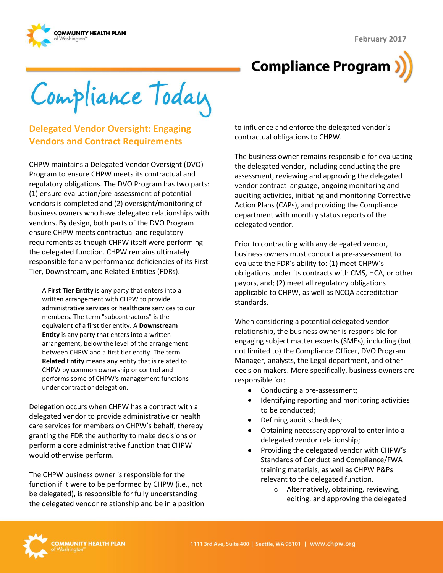



Compliance Today

## **Delegated Vendor Oversight: Engaging Vendors and Contract Requirements**

CHPW maintains a Delegated Vendor Oversight (DVO) Program to ensure CHPW meets its contractual and regulatory obligations. The DVO Program has two parts: (1) ensure evaluation/pre-assessment of potential vendors is completed and (2) oversight/monitoring of business owners who have delegated relationships with vendors. By design, both parts of the DVO Program ensure CHPW meets contractual and regulatory requirements as though CHPW itself were performing the delegated function. CHPW remains ultimately responsible for any performance deficiencies of its First Tier, Downstream, and Related Entities (FDRs).

A **First Tier Entity** is any party that enters into a written arrangement with CHPW to provide administrative services or healthcare services to our members. The term "subcontractors" is the equivalent of a first tier entity. A **Downstream Entity** is any party that enters into a written arrangement, below the level of the arrangement between CHPW and a first tier entity. The term **Related Entity** means any entity that is related to CHPW by common ownership or control and performs some of CHPW's management functions under contract or delegation.

Delegation occurs when CHPW has a contract with a delegated vendor to provide administrative or health care services for members on CHPW's behalf, thereby granting the FDR the authority to make decisions or perform a core administrative function that CHPW would otherwise perform.

The CHPW business owner is responsible for the function if it were to be performed by CHPW (i.e., not be delegated), is responsible for fully understanding the delegated vendor relationship and be in a position to influence and enforce the delegated vendor's contractual obligations to CHPW.

The business owner remains responsible for evaluating the delegated vendor, including conducting the preassessment, reviewing and approving the delegated vendor contract language, ongoing monitoring and auditing activities, initiating and monitoring Corrective Action Plans (CAPs), and providing the Compliance department with monthly status reports of the delegated vendor.

Prior to contracting with any delegated vendor, business owners must conduct a pre-assessment to evaluate the FDR's ability to: (1) meet CHPW's obligations under its contracts with CMS, HCA, or other payors, and; (2) meet all regulatory obligations applicable to CHPW, as well as NCQA accreditation standards.

When considering a potential delegated vendor relationship, the business owner is responsible for engaging subject matter experts (SMEs), including (but not limited to) the Compliance Officer, DVO Program Manager, analysts, the Legal department, and other decision makers. More specifically, business owners are responsible for:

- Conducting a pre-assessment;
- Identifying reporting and monitoring activities to be conducted;
- Defining audit schedules;
- Obtaining necessary approval to enter into a delegated vendor relationship;
- Providing the delegated vendor with CHPW's Standards of Conduct and Compliance/FWA training materials, as well as CHPW P&Ps relevant to the delegated function.
	- o Alternatively, obtaining, reviewing, editing, and approving the delegated

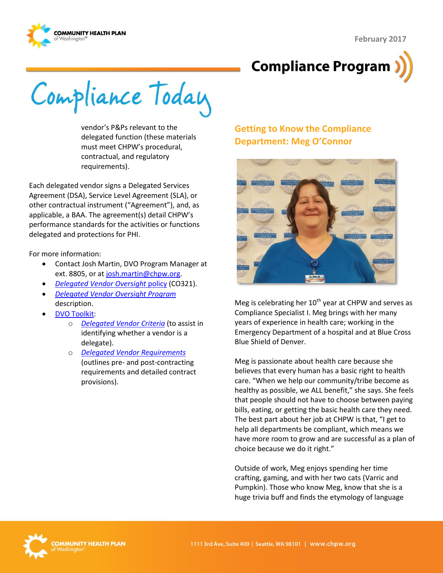



Compliance Today

vendor's P&Ps relevant to the delegated function (these materials must meet CHPW's procedural, contractual, and regulatory requirements).

Each delegated vendor signs a Delegated Services Agreement (DSA), Service Level Agreement (SLA), or other contractual instrument ("Agreement"), and, as applicable, a BAA. The agreement(s) detail CHPW's performance standards for the activities or functions delegated and protections for PHI.

For more information:

- Contact Josh Martin, DVO Program Manager at ext. 8805, or a[t josh.martin@chpw.org.](mailto:josh.martin@chpw.org)
- *[Delegated Vendor Oversight](http://chpsp/PP/Compliance/Delegated%20Vendor%20Oversight%20Policy%20-%20CO321.pdf)* policy (CO321).
- *[Delegated Vendor Oversight Program](http://chpsp/PP/Compliance/Delegated%20Vendor%20Oversight%20Program%20Description%20-%20CO-PROG5.pdf)*  description.
- [DVO Toolkit:](http://chpsp/Comp/DVO%20Toolkit/Forms/AllItems.aspx)
	- o *[Delegated Vendor Criteria](http://chpsp/Comp/DVO%20Toolkit/Delegated%20Vendor%20Criteria%20-%20FINAL.docx)* (to assist in identifying whether a vendor is a delegate).
	- o *[Delegated Vendor Requirements](http://chpsp/Comp/DVO%20Toolkit/Delegated%20Vendor%20Requirements%20-%20FINAL.docx)* (outlines pre- and post-contracting requirements and detailed contract provisions).

# **Getting to Know the Compliance Department: Meg O'Connor**



Meg is celebrating her  $10^{th}$  year at CHPW and serves as Compliance Specialist I. Meg brings with her many years of experience in health care; working in the Emergency Department of a hospital and at Blue Cross Blue Shield of Denver.

Meg is passionate about health care because she believes that every human has a basic right to health care. "When we help our community/tribe become as healthy as possible, we ALL benefit," she says. She feels that people should not have to choose between paying bills, eating, or getting the basic health care they need. The best part about her job at CHPW is that, "I get to help all departments be compliant, which means we have more room to grow and are successful as a plan of choice because we do it right."

Outside of work, Meg enjoys spending her time crafting, gaming, and with her two cats (Varric and Pumpkin). Those who know Meg, know that she is a huge trivia buff and finds the etymology of language

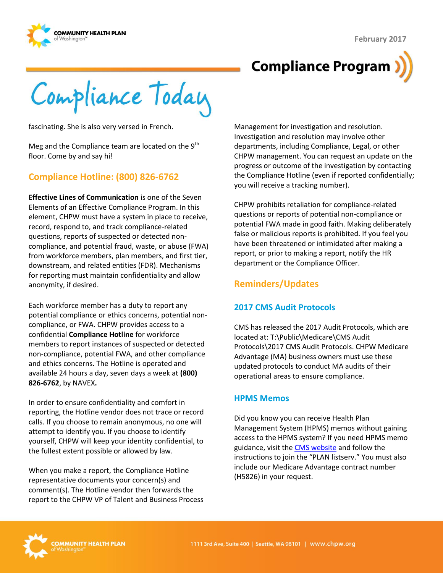



# **Compliance Program**

Compliance Today

fascinating. She is also very versed in French.

Meg and the Compliance team are located on the  $9<sup>th</sup>$ floor. Come by and say hi!

## **Compliance Hotline: (800) 826-6762**

**Effective Lines of Communication** is one of the Seven Elements of an Effective Compliance Program. In this element, CHPW must have a system in place to receive, record, respond to, and track compliance-related questions, reports of suspected or detected noncompliance, and potential fraud, waste, or abuse (FWA) from workforce members, plan members, and first tier, downstream, and related entities (FDR). Mechanisms for reporting must maintain confidentiality and allow anonymity, if desired.

Each workforce member has a duty to report any potential compliance or ethics concerns, potential noncompliance, or FWA. CHPW provides access to a confidential **Compliance Hotline** for workforce members to report instances of suspected or detected non-compliance, potential FWA, and other compliance and ethics concerns. The Hotline is operated and available 24 hours a day, seven days a week at **(800) 826-6762**, by NAVEX**.**

In order to ensure confidentiality and comfort in reporting, the Hotline vendor does not trace or record calls. If you choose to remain anonymous, no one will attempt to identify you. If you choose to identify yourself, CHPW will keep your identity confidential, to the fullest extent possible or allowed by law.

When you make a report, the Compliance Hotline representative documents your concern(s) and comment(s). The Hotline vendor then forwards the report to the CHPW VP of Talent and Business Process

Management for investigation and resolution. Investigation and resolution may involve other departments, including Compliance, Legal, or other CHPW management. You can request an update on the progress or outcome of the investigation by contacting the Compliance Hotline (even if reported confidentially; you will receive a tracking number).

CHPW prohibits retaliation for compliance-related questions or reports of potential non-compliance or potential FWA made in good faith. Making deliberately false or malicious reports is prohibited. If you feel you have been threatened or intimidated after making a report, or prior to making a report, notify the HR department or the Compliance Officer.

## **Reminders/Updates**

#### **2017 CMS Audit Protocols**

CMS has released the 2017 Audit Protocols, which are located at: T:\Public\Medicare\CMS Audit Protocols\2017 CMS Audit Protocols. CHPW Medicare Advantage (MA) business owners must use these updated protocols to conduct MA audits of their operational areas to ensure compliance.

#### **HPMS Memos**

Did you know you can receive Health Plan Management System (HPMS) memos without gaining access to the HPMS system? If you need HPMS memo guidance, visit the [CMS website](https://www.cms.gov/Medicare/Medicare-Advantage/MedicareAdvantageApps/) and follow the instructions to join the "PLAN listserv." You must also include our Medicare Advantage contract number (H5826) in your request.